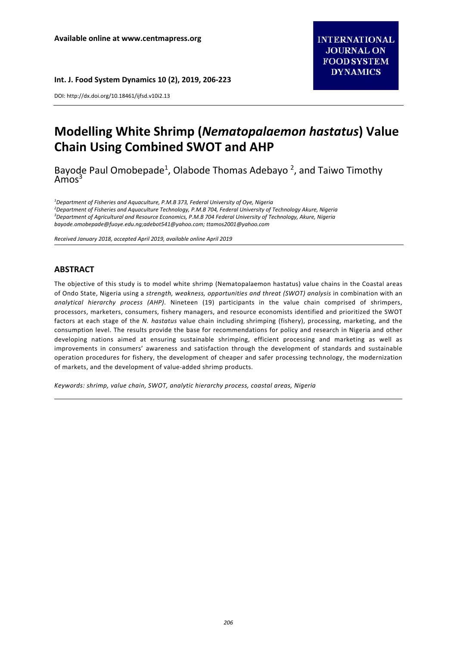#### **Int. J. Food System Dynamics 10 (2), 2019, 206‐223**

DOI: http://dx.doi.org/10.18461/ijfsd.v10i2.13

# **Modelling White Shrimp (***Nematopalaemon hastatus***) Value Chain Using Combined SWOT and AHP**

Bayode Paul Omobepade<sup>1</sup>, Olabode Thomas Adebayo<sup>2</sup>, and Taiwo Timothy  $Amos<sup>3</sup>$ 

<sup>1</sup>Department of Fisheries and Aquaculture, P.M.B 373, Federal University of Oye, Nigeria *2 Department of Fisheries and Aquaculture Technology, P.M.B 704, Federal University of Technology Akure, Nigeria 3 Department of Agricultural and Resource Economics, P.M.B 704 Federal University of Technology, Akure, Nigeria bayode.omobepade@fuoye.edu.ng;adebot541@yahoo.com; ttamos2001@yahoo.com* 

*Received January 2018, accepted April 2019, available online April 2019* 

# **ABSTRACT**

The objective of this study is to model white shrimp (Nematopalaemon hastatus) value chains in the Coastal areas of Ondo State, Nigeria using a *strength, weakness, opportunities and threat (SWOT) analysis* in combination with an *analytical hierarchy process (AHP)*. Nineteen (19) participants in the value chain comprised of shrimpers, processors, marketers, consumers, fishery managers, and resource economists identified and prioritized the SWOT factors at each stage of the *N. hastatus* value chain including shrimping (fishery), processing, marketing, and the consumption level. The results provide the base for recommendations for policy and research in Nigeria and other developing nations aimed at ensuring sustainable shrimping, efficient processing and marketing as well as improvements in consumers' awareness and satisfaction through the development of standards and sustainable operation procedures for fishery, the development of cheaper and safer processing technology, the modernization of markets, and the development of value‐added shrimp products.

*Keywords: shrimp, value chain, SWOT, analytic hierarchy process, coastal areas, Nigeria*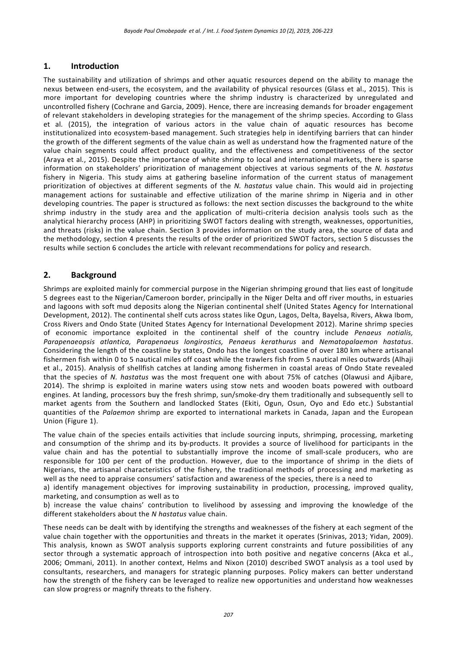# **1. Introduction**

The sustainability and utilization of shrimps and other aquatic resources depend on the ability to manage the nexus between end-users, the ecosystem, and the availability of physical resources (Glass et al., 2015). This is more important for developing countries where the shrimp industry is characterized by unregulated and uncontrolled fishery (Cochrane and Garcia, 2009). Hence, there are increasing demands for broader engagement of relevant stakeholders in developing strategies for the management of the shrimp species. According to Glass et al*.* (2015), the integration of various actors in the value chain of aquatic resources has become institutionalized into ecosystem‐based management. Such strategies help in identifying barriers that can hinder the growth of the different segments of the value chain as well as understand how the fragmented nature of the value chain segments could affect product quality, and the effectiveness and competitiveness of the sector (Araya et al*.*, 2015). Despite the importance of white shrimp to local and international markets, there is sparse information on stakeholders' prioritization of management objectives at various segments of the *N. hastatus* fishery in Nigeria. This study aims at gathering baseline information of the current status of management prioritization of objectives at different segments of the *N. hastatus* value chain. This would aid in projecting management actions for sustainable and effective utilization of the marine shrimp in Nigeria and in other developing countries. The paper is structured as follows: the next section discusses the background to the white shrimp industry in the study area and the application of multi-criteria decision analysis tools such as the analytical hierarchy process (AHP) in prioritizing SWOT factors dealing with strength, weaknesses, opportunities, and threats (risks) in the value chain. Section 3 provides information on the study area, the source of data and the methodology, section 4 presents the results of the order of prioritized SWOT factors, section 5 discusses the results while section 6 concludes the article with relevant recommendations for policy and research.

# **2. Background**

Shrimps are exploited mainly for commercial purpose in the Nigerian shrimping ground that lies east of longitude 5 degrees east to the Nigerian/Cameroon border, principally in the Niger Delta and off river mouths, in estuaries and lagoons with soft mud deposits along the Nigerian continental shelf (United States Agency for International Development, 2012). The continental shelf cuts across states like Ogun, Lagos, Delta, Bayelsa, Rivers, Akwa Ibom, Cross Rivers and Ondo State (United States Agency for International Development 2012). Marine shrimp species of economic importance exploited in the continental shelf of the country include *Penaeus notialis, Parapenaeopsis atlantica, Parapenaeus longirostics, Penaeus kerathurus* and *Nematopalaemon hastatus*. Considering the length of the coastline by states, Ondo has the longest coastline of over 180 km where artisanal fishermen fish within 0 to 5 nautical miles off coast while the trawlers fish from 5 nautical miles outwards (Alhaji et al., 2015). Analysis of shellfish catches at landing among fishermen in coastal areas of Ondo State revealed that the species of *N. hastatus*  was the most frequent one with about 75% of catches (Olawusi and Ajibare, 2014). The shrimp is exploited in marine waters using stow nets and wooden boats powered with outboard engines. At landing, processors buy the fresh shrimp, sun/smoke-dry them traditionally and subsequently sell to market agents from the Southern and landlocked States (Ekiti, Ogun, Osun, Oyo and Edo etc.) Substantial quantities of the *Palaemon* shrimp are exported to international markets in Canada, Japan and the European Union (Figure 1).

The value chain of the species entails activities that include sourcing inputs, shrimping, processing, marketing and consumption of the shrimp and its by-products. It provides a source of livelihood for participants in the value chain and has the potential to substantially improve the income of small-scale producers, who are responsible for 100 per cent of the production. However, due to the importance of shrimp in the diets of Nigerians, the artisanal characteristics of the fishery, the traditional methods of processing and marketing as well as the need to appraise consumers' satisfaction and awareness of the species, there is a need to

a) identify management objectives for improving sustainability in production, processing, improved quality, marketing, and consumption as well as to

b) increase the value chains' contribution to livelihood by assessing and improving the knowledge of the different stakeholders about the *N hastatus* value chain.

These needs can be dealt with by identifying the strengths and weaknesses of the fishery at each segment of the value chain together with the opportunities and threats in the market it operates (Srinivas, 2013; Yidan, 2009). This analysis, known as SWOT analysis supports exploring current constraints and future possibilities of any sector through a systematic approach of introspection into both positive and negative concerns (Akca et al., 2006; Ommani, 2011). In another context, Helms and Nixon (2010) described SWOT analysis as a tool used by consultants, researchers, and managers for strategic planning purposes. Policy makers can better understand how the strength of the fishery can be leveraged to realize new opportunities and understand how weaknesses can slow progress or magnify threats to the fishery.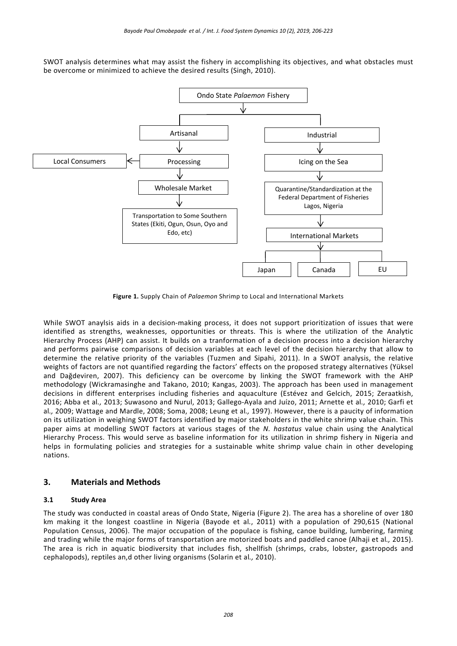SWOT analysis determines what may assist the fishery in accomplishing its objectives, and what obstacles must be overcome or minimized to achieve the desired results (Singh, 2010).



**Figure 1.** Supply Chain of *Palaemon* Shrimp to Local and International Markets

While SWOT anaylsis aids in a decision-making process, it does not support prioritization of issues that were identified as strengths, weaknesses, opportunities or threats. This is where the utilization of the Analytic Hierarchy Process (AHP) can assist. It builds on a tranformation of a decision process into a decision hierarchy and performs pairwise comparisons of decision variables at each level of the decision hierarchy that allow to determine the relative priority of the variables (Tuzmen and Sipahi, 2011). In a SWOT analysis, the relative weights of factors are not quantified regarding the factors' effects on the proposed strategy alternatives (Yüksel and Dağdeviren, 2007). This deficiency can be overcome by linking the SWOT framework with the AHP methodology (Wickramasinghe and Takano, 2010; Kangas, 2003). The approach has been used in management decisions in different enterprises including fisheries and aquaculture (Estévez and Gelcich, 2015; Zeraatkish, 2016; Abba et al*.,* 2013; Suwasono and Nurul, 2013; Gallego‐Ayala and Juízo, 2011; Arnette et al*.,* 2010; Garfi et al*.,* 2009; Wattage and Mardle, 2008; Soma, 2008; Leung et al*.,* 1997). However, there is a paucity of information on its utilization in weighing SWOT factors identified by major stakeholders in the white shrimp value chain. This paper aims at modelling SWOT factors at various stages of the *N. hastatus* value chain using the Analytical Hierarchy Process. This would serve as baseline information for its utilization in shrimp fishery in Nigeria and helps in formulating policies and strategies for a sustainable white shrimp value chain in other developing nations.

# **3. Materials and Methods**

### **3.1 Study Area**

The study was conducted in coastal areas of Ondo State, Nigeria (Figure 2). The area has a shoreline of over 180 km making it the longest coastline in Nigeria (Bayode et al*.*, 2011) with a population of 290,615 (National Population Census, 2006). The major occupation of the populace is fishing, canoe building, lumbering, farming and trading while the major forms of transportation are motorized boats and paddled canoe (Alhaji et al*.,* 2015). The area is rich in aquatic biodiversity that includes fish, shellfish (shrimps, crabs, lobster, gastropods and cephalopods), reptiles an,d other living organisms (Solarin et al*.,* 2010).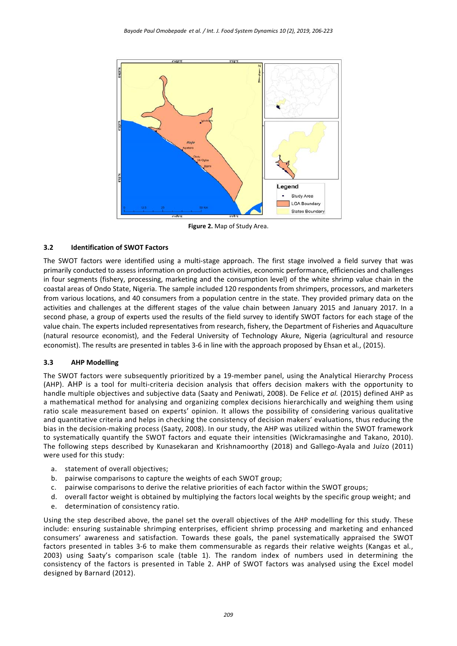

**Figure 2.** Map of Study Area.

# **3.2 Identification of SWOT Factors**

The SWOT factors were identified using a multi-stage approach. The first stage involved a field survey that was primarily conducted to assess information on production activities, economic performance, efficiencies and challenges in four segments (fishery, processing, marketing and the consumption level) of the white shrimp value chain in the coastal areas of Ondo State, Nigeria. The sample included 120 respondents from shrimpers, processors, and marketers from various locations, and 40 consumers from a population centre in the state. They provided primary data on the activities and challenges at the different stages of the value chain between January 2015 and January 2017. In a second phase, a group of experts used the results of the field survey to identify SWOT factors for each stage of the value chain. The experts included representatives from research, fishery, the Department of Fisheries and Aquaculture (natural resource economist), and the Federal University of Technology Akure, Nigeria (agricultural and resource economist). The results are presented in tables 3‐6 in line with the approach proposed by Ehsan et al*.*, (2015).

### **3.3 AHP Modelling**

The SWOT factors were subsequently prioritized by a 19-member panel, using the Analytical Hierarchy Process (AHP). AHP is a tool for multi-criteria decision analysis that offers decision makers with the opportunity to handle multiple objectives and subjective data (Saaty and Peniwati, 2008). De Felice *et al.* (2015) defined AHP as a mathematical method for analysing and organizing complex decisions hierarchically and weighing them using ratio scale measurement based on experts' opinion. It allows the possibility of considering various qualitative and quantitative criteria and helps in checking the consistency of decision makers' evaluations, thus reducing the bias in the decision‐making process (Saaty, 2008). In our study, the AHP was utilized within the SWOT framework to systematically quantify the SWOT factors and equate their intensities (Wickramasinghe and Takano, 2010). The following steps described by Kunasekaran and Krishnamoorthy (2018) and Gallego‐Ayala and Juízo (2011) were used for this study:

- a. statement of overall objectives;
- b. pairwise comparisons to capture the weights of each SWOT group;
- c. pairwise comparisons to derive the relative priorities of each factor within the SWOT groups;
- d. overall factor weight is obtained by multiplying the factors local weights by the specific group weight; and
- e. determination of consistency ratio.

Using the step described above, the panel set the overall objectives of the AHP modelling for this study. These include: ensuring sustainable shrimping enterprises, efficient shrimp processing and marketing and enhanced consumers' awareness and satisfaction. Towards these goals, the panel systematically appraised the SWOT factors presented in tables 3‐6 to make them commensurable as regards their relative weights (Kangas et al*.*, 2003) using Saaty's comparison scale (table 1). The random index of numbers used in determining the consistency of the factors is presented in Table 2. AHP of SWOT factors was analysed using the Excel model designed by Barnard (2012).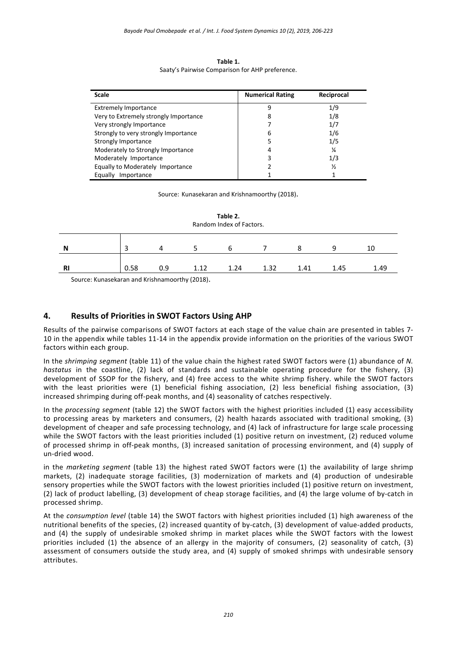| Table 1.                                        |
|-------------------------------------------------|
| Saaty's Pairwise Comparison for AHP preference. |

| <b>Scale</b>                          | <b>Numerical Rating</b> | Reciprocal    |
|---------------------------------------|-------------------------|---------------|
| <b>Extremely Importance</b>           | 9                       | 1/9           |
| Very to Extremely strongly Importance | 8                       | 1/8           |
| Very strongly Importance              |                         | 1/7           |
| Strongly to very strongly Importance  | 6                       | 1/6           |
| Strongly Importance                   | 5                       | 1/5           |
| Moderately to Strongly Importance     | 4                       | ¼             |
| Moderately Importance                 | 3                       | 1/3           |
| Equally to Moderately Importance      | 2                       | $\frac{1}{2}$ |
| Equally<br>Importance                 |                         |               |

Source: Kunasekaran and Krishnamoorthy (2018).

| Table 2.<br>Random Index of Factors. |                                                         |     |      |      |      |      |      |      |
|--------------------------------------|---------------------------------------------------------|-----|------|------|------|------|------|------|
| N                                    |                                                         | Δ   |      | h    |      | 8    | q    | 10   |
| <b>RI</b>                            | 0.58                                                    | 0.9 | 1.12 | 1.24 | 1.32 | 1.41 | 1.45 | 1.49 |
|                                      | Countries Report Fouriers and Ratchmonic conduct (0040) |     |      |      |      |      |      |      |

Source: Kunasekaran and Krishnamoorthy (2018).

# **4. Results of Priorities in SWOT Factors Using AHP**

Results of the pairwise comparisons of SWOT factors at each stage of the value chain are presented in tables 7‐ 10 in the appendix while tables 11‐14 in the appendix provide information on the priorities of the various SWOT factors within each group.

In the *shrimping segment* (table 11) of the value chain the highest rated SWOT factors were (1) abundance of *N. hastatus*  in the coastline, (2) lack of standards and sustainable operating procedure for the fishery, (3) development of SSOP for the fishery, and (4) free access to the white shrimp fishery. while the SWOT factors with the least priorities were (1) beneficial fishing association, (2) less beneficial fishing association, (3) increased shrimping during off‐peak months, and (4) seasonality of catches respectively.

In the *processing segment* (table 12) the SWOT factors with the highest priorities included (1) easy accessibility to processing areas by marketers and consumers, (2) health hazards associated with traditional smoking, (3) development of cheaper and safe processing technology, and (4) lack of infrastructure for large scale processing while the SWOT factors with the least priorities included (1) positive return on investment, (2) reduced volume of processed shrimp in off‐peak months, (3) increased sanitation of processing environment, and (4) supply of un‐dried wood.

in the *marketing segment* (table 13) the highest rated SWOT factors were (1) the availability of large shrimp markets, (2) inadequate storage facilities, (3) modernization of markets and (4) production of undesirable sensory properties while the SWOT factors with the lowest priorities included (1) positive return on investment, (2) lack of product labelling, (3) development of cheap storage facilities, and (4) the large volume of by‐catch in processed shrimp.

At the *consumption level* (table 14) the SWOT factors with highest priorities included (1) high awareness of the nutritional benefits of the species, (2) increased quantity of by-catch, (3) development of value-added products, and (4) the supply of undesirable smoked shrimp in market places while the SWOT factors with the lowest priorities included (1) the absence of an allergy in the majority of consumers, (2) seasonality of catch, (3) assessment of consumers outside the study area, and (4) supply of smoked shrimps with undesirable sensory attributes.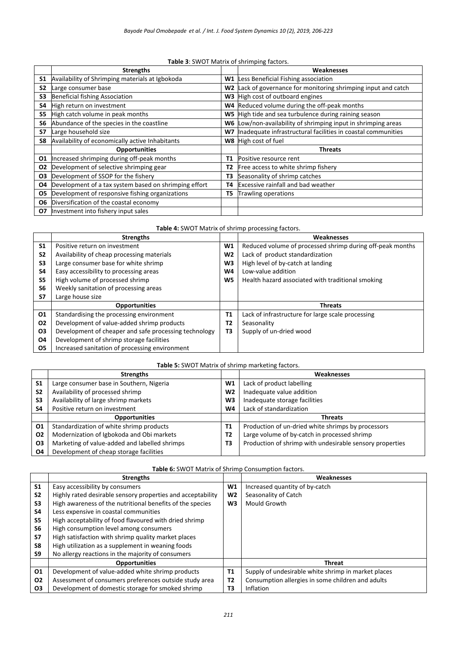#### **Table 3**: SWOT Matrix of shrimping factors.

|                | <b>Strengths</b>                                      |                | Weaknesses                                                   |
|----------------|-------------------------------------------------------|----------------|--------------------------------------------------------------|
| <b>S1</b>      | Availability of Shrimping materials at Igbokoda       | W1             | Less Beneficial Fishing association                          |
| S <sub>2</sub> | Large consumer base                                   | W <sub>2</sub> | Lack of governance for monitoring shrimping input and catch  |
| S3             | <b>Beneficial fishing Association</b>                 |                | W3 High cost of outboard engines                             |
| S4             | High return on investment                             |                | W4 Reduced volume during the off-peak months                 |
| S5             | High catch volume in peak months                      | W5             | High tide and sea turbulence during raining season           |
| S <sub>6</sub> | Abundance of the species in the coastline             | W6             | Low/non-availability of shrimping input in shrimping areas   |
| <b>S7</b>      | Large household size                                  | W7             | Inadequate infrastructural facilities in coastal communities |
| S8             | Availability of economically active Inhabitants       |                | W8 High cost of fuel                                         |
|                | <b>Opportunities</b>                                  |                | <b>Threats</b>                                               |
| 01             | Increased shrimping during off-peak months            | T1             | Positive resource rent                                       |
| 02             | Development of selective shrimping gear               | Τ2             | Free access to white shrimp fishery                          |
| 03             | Development of SSOP for the fishery                   | тз             | Seasonality of shrimp catches                                |
| 04             | Development of a tax system based on shrimping effort | Τ4             | <b>Excessive rainfall and bad weather</b>                    |
| 05             | Development of responsive fishing organizations       | T5             | Trawling operations                                          |
| O6             | Diversification of the coastal economy                |                |                                                              |
| 07             | Investment into fishery input sales                   |                |                                                              |

| Table 4: SWOT Matrix of shrimp processing factors. |                                                       |     |                                                           |  |  |  |
|----------------------------------------------------|-------------------------------------------------------|-----|-----------------------------------------------------------|--|--|--|
|                                                    | <b>Strengths</b>                                      |     | <b>Weaknesses</b>                                         |  |  |  |
| <b>S1</b>                                          | Positive return on investment                         | W1  | Reduced volume of processed shrimp during off-peak months |  |  |  |
| S <sub>2</sub>                                     | Availability of cheap processing materials            | W2  | Lack of product standardization                           |  |  |  |
| S3                                                 | Large consumer base for white shrimp                  | WЗ. | High level of by-catch at landing                         |  |  |  |
| S <sub>4</sub>                                     | Easy accessibility to processing areas                | W4  | Low-value addition                                        |  |  |  |
| S <sub>5</sub>                                     | High volume of processed shrimp                       | W5  | Health hazard associated with traditional smoking         |  |  |  |
| S <sub>6</sub>                                     | Weekly sanitation of processing areas                 |     |                                                           |  |  |  |
| S7                                                 | Large house size                                      |     |                                                           |  |  |  |
|                                                    | <b>Opportunities</b>                                  |     | <b>Threats</b>                                            |  |  |  |
| 01                                                 | Standardising the processing environment              | T1  | Lack of infrastructure for large scale processing         |  |  |  |
| 02                                                 | Development of value-added shrimp products            | Т2  | Seasonality                                               |  |  |  |
| <b>O3</b>                                          | Development of cheaper and safe processing technology | T3  | Supply of un-dried wood                                   |  |  |  |
| 04                                                 | Development of shrimp storage facilities              |     |                                                           |  |  |  |
| 05                                                 | Increased sanitation of processing environment        |     |                                                           |  |  |  |

#### **Table 5:** SWOT Matrix of shrimp marketing factors.

|                | <b>Strengths</b>                              |                | Weaknesses                                               |
|----------------|-----------------------------------------------|----------------|----------------------------------------------------------|
| S <sub>1</sub> | Large consumer base in Southern, Nigeria      | W1             | Lack of product labelling                                |
| S <sub>2</sub> | Availability of processed shrimp              | W <sub>2</sub> | Inadequate value addition                                |
| S3             | Availability of large shrimp markets          | W3             | Inadequate storage facilities                            |
| S <sub>4</sub> | Positive return on investment                 | W4             | Lack of standardization                                  |
|                | <b>Opportunities</b>                          |                | <b>Threats</b>                                           |
| O <sub>1</sub> | Standardization of white shrimp products      | Τ1             | Production of un-dried white shrimps by processors       |
| 02             | Modernization of Igbokoda and Obi markets     | T2             | Large volume of by-catch in processed shrimp             |
| <b>O3</b>      | Marketing of value-added and labelled shrimps | T3             | Production of shrimp with undesirable sensory properties |
| 04             | Development of cheap storage facilities       |                |                                                          |

|                | <b>Strengths</b>                                            |                | Weaknesses                                          |
|----------------|-------------------------------------------------------------|----------------|-----------------------------------------------------|
| S <sub>1</sub> | Easy accessibility by consumers                             | W <sub>1</sub> | Increased quantity of by-catch                      |
| S <sub>2</sub> | Highly rated desirable sensory properties and acceptability | W <sub>2</sub> | Seasonality of Catch                                |
| S <sub>3</sub> | High awareness of the nutritional benefits of the species   | W3             | Mould Growth                                        |
| S4             | Less expensive in coastal communities                       |                |                                                     |
| S <sub>5</sub> | High acceptability of food flavoured with dried shrimp      |                |                                                     |
| S <sub>6</sub> | High consumption level among consumers                      |                |                                                     |
| S7             | High satisfaction with shrimp quality market places         |                |                                                     |
| S8             | High utilization as a supplement in weaning foods           |                |                                                     |
| S9             | No allergy reactions in the majority of consumers           |                |                                                     |
|                | <b>Opportunities</b>                                        |                | <b>Threat</b>                                       |
| 01             | Development of value-added white shrimp products            | <b>T1</b>      | Supply of undesirable white shrimp in market places |
| <b>O2</b>      | Assessment of consumers preferences outside study area      | T2             | Consumption allergies in some children and adults   |
| <b>O3</b>      | Development of domestic storage for smoked shrimp           | T3             | Inflation                                           |

#### **Table 6:** SWOT Matrix of Shrimp Consumption factors.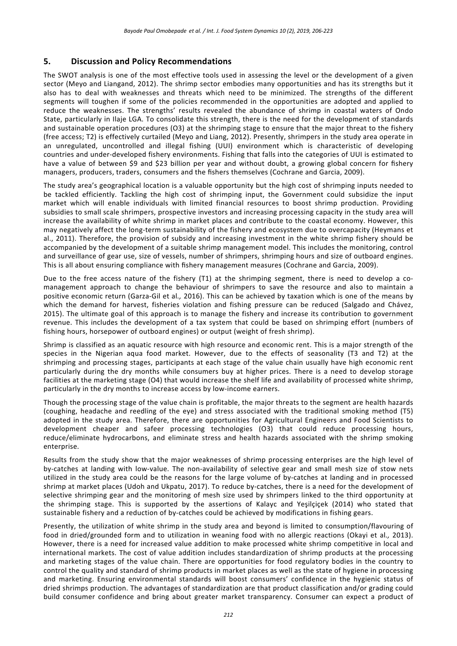# **5. Discussion and Policy Recommendations**

The SWOT analysis is one of the most effective tools used in assessing the level or the development of a given sector (Meyo and Liangand, 2012). The shrimp sector embodies many opportunities and has its strengths but it also has to deal with weaknesses and threats which need to be minimized. The strengths of the different segments will toughen if some of the policies recommended in the opportunities are adopted and applied to reduce the weaknesses. The strengths' results revealed the abundance of shrimp in coastal waters of Ondo State, particularly in Ilaje LGA. To consolidate this strength, there is the need for the development of standards and sustainable operation procedures (O3) at the shrimping stage to ensure that the major threat to the fishery (free access; T2) is effectively curtailed (Meyo and Liang, 2012). Presently, shrimpers in the study area operate in an unregulated, uncontrolled and illegal fishing (UUI) environment which is characteristic of developing countries and under‐developed fishery environments. Fishing that falls into the categories of UUI is estimated to have a value of between \$9 and \$23 billion per year and without doubt, a growing global concern for fishery managers, producers, traders, consumers and the fishers themselves (Cochrane and Garcia, 2009).

The study area's geographical location is a valuable opportunity but the high cost of shrimping inputs needed to be tackled efficiently. Tackling the high cost of shrimping input, the Government could subsidize the input market which will enable individuals with limited financial resources to boost shrimp production. Providing subsidies to small scale shrimpers, prospective investors and increasing processing capacity in the study area will increase the availability of white shrimp in market places and contribute to the coastal economy. However, this may negatively affect the long‐term sustainability of the fishery and ecosystem due to overcapacity (Heymans et al., 2011). Therefore, the provision of subsidy and increasing investment in the white shrimp fishery should be accompanied by the development of a suitable shrimp management model. This includes the monitoring, control and surveillance of gear use, size of vessels, number of shrimpers, shrimping hours and size of outboard engines. This is all about ensuring compliance with fishery management measures (Cochrane and Garcia, 2009).

Due to the free access nature of the fishery (T1) at the shrimping segment, there is need to develop a comanagement approach to change the behaviour of shrimpers to save the resource and also to maintain a positive economic return (Garza‐Gil et al*.,* 2016). This can be achieved by taxation which is one of the means by which the demand for harvest, fisheries violation and fishing pressure can be reduced (Salgado and Chávez, 2015). The ultimate goal of this approach is to manage the fishery and increase its contribution to government revenue. This includes the development of a tax system that could be based on shrimping effort (numbers of fishing hours, horsepower of outboard engines) or output (weight of fresh shrimp).

Shrimp is classified as an aquatic resource with high resource and economic rent. This is a major strength of the species in the Nigerian aqua food market. However, due to the effects of seasonality (T3 and T2) at the shrimping and processing stages, participants at each stage of the value chain usually have high economic rent particularly during the dry months while consumers buy at higher prices. There is a need to develop storage facilities at the marketing stage (O4) that would increase the shelf life and availability of processed white shrimp, particularly in the dry months to increase access by low‐income earners.

Though the processing stage of the value chain is profitable, the major threats to the segment are health hazards (coughing, headache and reedling of the eye) and stress associated with the traditional smoking method (T5) adopted in the study area. Therefore, there are opportunities for Agricultural Engineers and Food Scientists to development cheaper and safeer processing technologies (O3) that could reduce processing hours, reduce/eliminate hydrocarbons, and eliminate stress and health hazards associated with the shrimp smoking enterprise.

Results from the study show that the major weaknesses of shrimp processing enterprises are the high level of by-catches at landing with low-value. The non-availability of selective gear and small mesh size of stow nets utilized in the study area could be the reasons for the large volume of by‐catches at landing and in processed shrimp at market places (Udoh and Ukpatu, 2017). To reduce by‐catches, there is a need for the development of selective shrimping gear and the monitoring of mesh size used by shrimpers linked to the third opportunity at the shrimping stage. This is supported by the assertions of Kalayc and Yeşilçiçek (2014) who stated that sustainable fishery and a reduction of by-catches could be achieved by modifications in fishing gears.

Presently, the utilization of white shrimp in the study area and beyond is limited to consumption/flavouring of food in dried/grounded form and to utilization in weaning food with no allergic reactions (Okayi et al*.,* 2013). However, there is a need for increased value addition to make processed white shrimp competitive in local and international markets. The cost of value addition includes standardization of shrimp products at the processing and marketing stages of the value chain. There are opportunities for food regulatory bodies in the country to control the quality and standard of shrimp products in market places as well as the state of hygiene in processing and marketing. Ensuring environmental standards will boost consumers' confidence in the hygienic status of dried shrimps production. The advantages of standardization are that product classification and/or grading could build consumer confidence and bring about greater market transparency. Consumer can expect a product of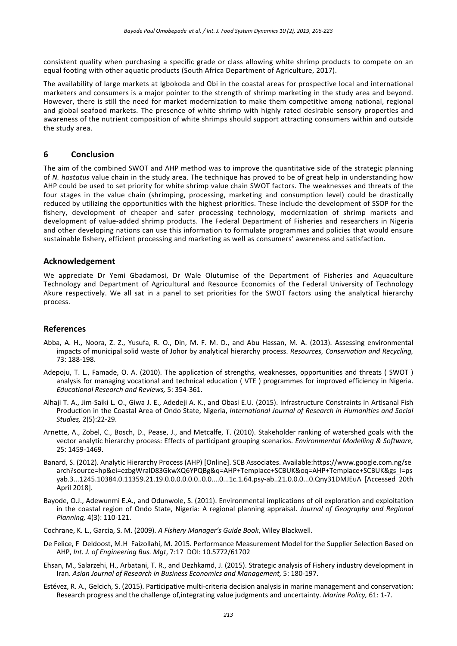consistent quality when purchasing a specific grade or class allowing white shrimp products to compete on an equal footing with other aquatic products (South Africa Department of Agriculture, 2017).

The availability of large markets at Igbokoda and Obi in the coastal areas for prospective local and international marketers and consumers is a major pointer to the strength of shrimp marketing in the study area and beyond. However, there is still the need for market modernization to make them competitive among national, regional and global seafood markets. The presence of white shrimp with highly rated desirable sensory properties and awareness of the nutrient composition of white shrimps should support attracting consumers within and outside the study area.

# **6 Conclusion**

The aim of the combined SWOT and AHP method was to improve the quantitative side of the strategic planning of *N. hastatus* value chain in the study area. The technique has proved to be of great help in understanding how AHP could be used to set priority for white shrimp value chain SWOT factors. The weaknesses and threats of the four stages in the value chain (shrimping, processing, marketing and consumption level) could be drastically reduced by utilizing the opportunities with the highest priorities. These include the development of SSOP for the fishery, development of cheaper and safer processing technology, modernization of shrimp markets and development of value‐added shrimp products. The Federal Department of Fisheries and researchers in Nigeria and other developing nations can use this information to formulate programmes and policies that would ensure sustainable fishery, efficient processing and marketing as well as consumers' awareness and satisfaction.

### **Acknowledgement**

We appreciate Dr Yemi Gbadamosi, Dr Wale Olutumise of the Department of Fisheries and Aquaculture Technology and Department of Agricultural and Resource Economics of the Federal University of Technology Akure respectively. We all sat in a panel to set priorities for the SWOT factors using the analytical hierarchy process.

### **References**

- Abba, A. H., Noora, Z. Z., Yusufa, R. O., Din, M. F. M. D., and Abu Hassan, M. A. (2013). Assessing environmental impacts of municipal solid waste of Johor by analytical hierarchy process. *Resources, Conservation and Recycling,* 73: 188‐198.
- Adepoju, T. L., Famade, O. A. (2010). The application of strengths, weaknesses, opportunities and threats (SWOT) analysis for managing vocational and technical education ( VTE ) programmes for improved efficiency in Nigeria. *Educational Research and Reviews,* 5: 354‐361.
- Alhaji T. A., Jim‐Saiki L. O., Giwa J. E., Adedeji A. K., and Obasi E.U. (2015). Infrastructure Constraints in Artisanal Fish Production in the Coastal Area of Ondo State, Nigeria, *International Journal of Research in Humanities and Social Studies,* 2(5):22‐29.
- Arnette, A., Zobel, C., Bosch, D., Pease, J., and Metcalfe, T. (2010). Stakeholder ranking of watershed goals with the vector analytic hierarchy process: Effects of participant grouping scenarios. *Environmental Modelling & Software,* 25: 1459‐1469.
- Banard, S. (2012). Analytic Hierarchy Process (AHP) [Online]. SCB Associates. Available:https://www.google.com.ng/se arch?source=hp&ei=ezbgWralD83GkwXQ6YPQBg&q=AHP+Templace+SCBUK&oq=AHP+Templace+SCBUK&gs\_l=ps yab.3...1245.10384.0.11359.21.19.0.0.0.0.0.0..0.0....0...1c.1.64.psy‐ab..21.0.0.0...0.Qny31DMJEuA [Accessed 20th April 2018].
- Bayode, O.J., Adewunmi E.A., and Odunwole, S. (2011). Environmental implications of oil exploration and exploitation in the coastal region of Ondo State, Nigeria: A regional planning appraisal. *Journal of Geography and Regional Planning,* 4(3): 110‐121.
- Cochrane, K. L., Garcia, S. M. (2009). *A Fishery Manager's Guide Book*, Wiley Blackwell.
- De Felice, F Deldoost, M.H Faizollahi, M. 2015. Performance Measurement Model for the Supplier Selection Based on AHP, *Int. J. of Engineering Bus. Mgt*, 7:17 DOI: 10.5772/61702
- Ehsan, M., Salarzehi, H., Arbatani, T. R., and Dezhkamd, J. (2015). Strategic analysis of Fishery industry development in Iran. *Asian Journal of Research in Business Economics and Management,* 5: 180‐197.
- Estévez, R. A., Gelcich, S. (2015). Participative multi‐criteria decision analysis in marine management and conservation: Research progress and the challenge of,integrating value judgments and uncertainty. *Marine Policy,* 61: 1‐7.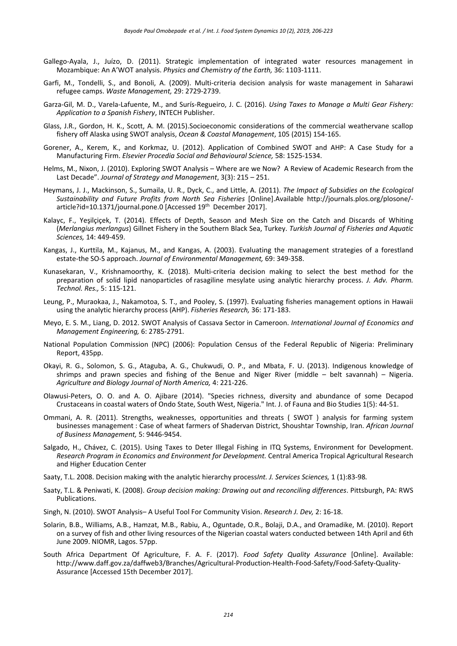- Gallego-Ayala, J., Juízo, D. (2011). Strategic implementation of integrated water resources management in Mozambique: An A'WOT analysis. *Physics and Chemistry of the Earth,* 36: 1103‐1111.
- Garfi, M., Tondelli, S., and Bonoli, A. (2009). Multi‐criteria decision analysis for waste management in Saharawi refugee camps. *Waste Management,* 29: 2729‐2739.
- Garza‐Gil, M. D., Varela‐Lafuente, M., and Surís‐Regueiro, J. C. (2016). *Using Taxes to Manage a Multi Gear Fishery: Application to a Spanish Fishery*, INTECH Publisher.
- Glass, J.R., Gordon, H. K., Scott, A. M. (2015).Socioeconomic considerations of the commercial weathervane scallop fishery off Alaska using SWOT analysis, *Ocean & Coastal Management*, 105 (2015) 154‐165.
- Gorener, A., Kerem, K., and Korkmaz, U. (2012). Application of Combined SWOT and AHP: A Case Study for a Manufacturing Firm. *Elsevier Procedia Social and Behavioural Science,* 58: 1525‐1534.
- Helms, M., Nixon, J. (2010). Exploring SWOT Analysis Where are we Now? A Review of Academic Research from the Last Decade". *Journal of Strategy and Management*, 3(3): 215 – 251.
- Heymans, J. J., Mackinson, S., Sumaila, U. R., Dyck, C., and Little, A. (2011). *The Impact of Subsidies on the Ecological Sustainability and Future Profits from North Sea Fisheries*  [Online].Available http://journals.plos.org/plosone/‐ article?id=10.1371/journal.pone.0 [Accessed 19<sup>th</sup> December 2017].
- Kalayc, F., Yeşilçiçek, T. (2014). Effects of Depth, Season and Mesh Size on the Catch and Discards of Whiting (*Merlangius merlangus*) Gillnet Fishery in the Southern Black Sea, Turkey. *Turkish Journal of Fisheries and Aquatic Sciences,* 14: 449‐459.
- Kangas, J., Kurttila, M., Kajanus, M., and Kangas, A. (2003). Evaluating the management strategies of a forestland estate‐the SO‐S approach. *Journal of Environmental Management,* 69: 349‐358.
- Kunasekaran, V., Krishnamoorthy, K. (2018). Multi-criteria decision making to select the best method for the preparation of solid lipid nanoparticles of rasagiline mesylate using analytic hierarchy process. *J. Adv. Pharm. Technol. Res.,* 5: 115‐121.
- Leung, P., Muraokaa, J., Nakamotoa, S. T., and Pooley, S. (1997). Evaluating fisheries management options in Hawaii using the analytic hierarchy process (AHP). *Fisheries Research,* 36: 171‐183.
- Meyo, E. S. M., Liang, D. 2012. SWOT Analysis of Cassava Sector in Cameroon. *International Journal of Economics and Management Engineering,* 6: 2785‐2791.
- National Population Commission (NPC) (2006): Population Census of the Federal Republic of Nigeria: Preliminary Report, 435pp.
- Okayi, R. G., Solomon, S. G., Ataguba, A. G., Chukwudi, O. P., and Mbata, F. U. (2013). Indigenous knowledge of shrimps and prawn species and fishing of the Benue and Niger River (middle  $-$  belt savannah)  $-$  Nigeria. *Agriculture and Biology Journal of North America,* 4: 221‐226.
- Olawusi‐Peters, O. O. and A. O. Ajibare (2014). "Species richness, diversity and abundance of some Decapod Crustaceans in coastal waters of Ondo State, South West, Nigeria." Int. J. of Fauna and Bio Studies 1(5): 44‐51.
- Ommani, A. R. (2011). Strengths, weaknesses, opportunities and threats (SWOT) analysis for farming system businesses management : Case of wheat farmers of Shadervan District, Shoushtar Township, Iran. *African Journal of Business Management,* 5: 9446‐9454.
- Salgado, H., Chávez, C. (2015). Using Taxes to Deter Illegal Fishing in ITQ Systems, Environment for Development. *Research Program in Economics and Environment for Development.* Central America Tropical Agricultural Research and Higher Education Center
- Saaty, T.L. 2008. Decision making with the analytic hierarchy process*Int. J. Services Sciences,* 1 (1):83‐98*.*
- Saaty, T.L. & Peniwati, K. (2008). *Group decision making: Drawing out and reconciling differences*. Pittsburgh, PA: RWS Publications.
- Singh, N. (2010). SWOT Analysis– A Useful Tool For Community Vision. *Research J. Dev,* 2: 16‐18.
- Solarin, B.B., Williams, A.B., Hamzat, M.B., Rabiu, A., Oguntade, O.R., Bolaji, D.A., and Oramadike, M. (2010). Report on a survey of fish and other living resources of the Nigerian coastal waters conducted between 14th April and 6th June 2009. NIOMR, Lagos. 57pp.
- South Africa Department Of Agriculture, F. A. F. (2017). *Food Safety Quality Assurance*  [Online]. Available: http://www.daff.gov.za/daffweb3/Branches/Agricultural‐Production‐Health‐Food‐Safety/Food‐Safety‐Quality‐ Assurance [Accessed 15th December 2017].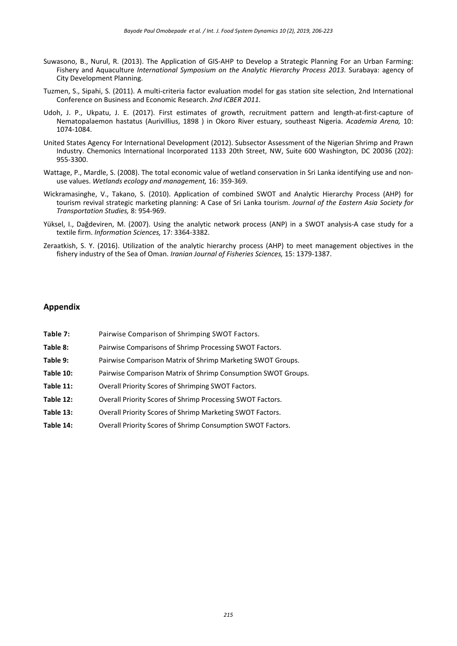- Suwasono, B., Nurul, R. (2013). The Application of GIS-AHP to Develop a Strategic Planning For an Urban Farming: Fishery and Aquaculture *International Symposium on the Analytic Hierarchy Process 2013.* Surabaya: agency of City Development Planning.
- Tuzmen, S., Sipahi, S. (2011). A multi‐criteria factor evaluation model for gas station site selection, 2nd International Conference on Business and Economic Research. *2nd ICBER 2011.*
- Udoh, J. P., Ukpatu, J. E. (2017). First estimates of growth, recruitment pattern and length-at-first-capture of Nematopalaemon hastatus (Aurivillius, 1898 ) in Okoro River estuary, southeast Nigeria. *Academia Arena,* 10: 1074‐1084.
- United States Agency For International Development (2012). Subsector Assessment of the Nigerian Shrimp and Prawn Industry. Chemonics International Incorporated 1133 20th Street, NW, Suite 600 Washington, DC 20036 (202): 955‐3300.
- Wattage, P., Mardle, S. (2008). The total economic value of wetland conservation in Sri Lanka identifying use and nonuse values. *Wetlands ecology and management,* 16: 359‐369.
- Wickramasinghe, V., Takano, S. (2010). Application of combined SWOT and Analytic Hierarchy Process (AHP) for tourism revival strategic marketing planning: A Case of Sri Lanka tourism. *Journal of the Eastern Asia Society for Transportation Studies,* 8: 954‐969.
- Yüksel, I., Dağdeviren, M. (2007). Using the analytic network process (ANP) in a SWOT analysis-A case study for a textile firm. *Information Sciences,* 17: 3364‐3382.
- Zeraatkish, S. Y. (2016). Utilization of the analytic hierarchy process (AHP) to meet management objectives in the fishery industry of the Sea of Oman. *Iranian Journal of Fisheries Sciences,* 15: 1379‐1387.

#### **Appendix**

- **Table 7:** Pairwise Comparison of Shrimping SWOT Factors. Table 8: Pairwise Comparisons of Shrimp Processing SWOT Factors. Table 9: Pairwise Comparison Matrix of Shrimp Marketing SWOT Groups. **Table 10:**  Pairwise Comparison Matrix of Shrimp Consumption SWOT Groups. Table 11: Overall Priority Scores of Shrimping SWOT Factors.
- Table 12: Overall Priority Scores of Shrimp Processing SWOT Factors.
- Table 13: **Overall Priority Scores of Shrimp Marketing SWOT Factors.**
- **Table 14:** Overall Priority Scores of Shrimp Consumption SWOT Factors.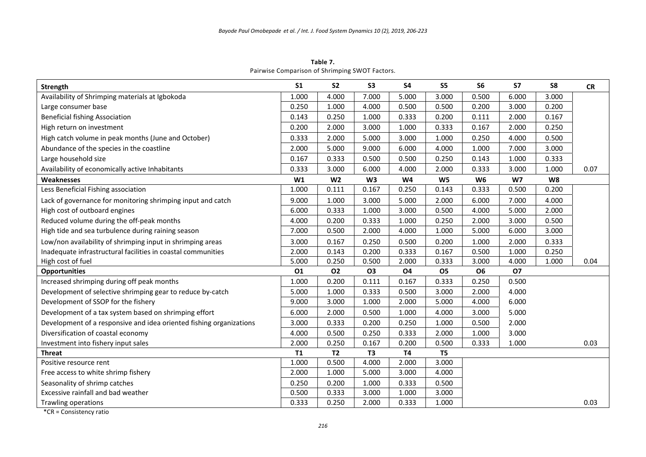**Table 7.** Pairwise Comparison of Shrimping SWOT Factors.

| Strength                                                            | S <sub>1</sub> | S <sub>2</sub> | <b>S3</b>      | <b>S4</b> | S <sub>5</sub> | S <sub>6</sub> | <b>S7</b>      | S8    | <b>CR</b> |
|---------------------------------------------------------------------|----------------|----------------|----------------|-----------|----------------|----------------|----------------|-------|-----------|
| Availability of Shrimping materials at Igbokoda                     | 1.000          | 4.000          | 7.000          | 5.000     | 3.000          | 0.500          | 6.000          | 3.000 |           |
| Large consumer base                                                 | 0.250          | 1.000          | 4.000          | 0.500     | 0.500          | 0.200          | 3.000          | 0.200 |           |
| <b>Beneficial fishing Association</b>                               | 0.143          | 0.250          | 1.000          | 0.333     | 0.200          | 0.111          | 2.000          | 0.167 |           |
| High return on investment                                           | 0.200          | 2.000          | 3.000          | 1.000     | 0.333          | 0.167          | 2.000          | 0.250 |           |
| High catch volume in peak months (June and October)                 | 0.333          | 2.000          | 5.000          | 3.000     | 1.000          | 0.250          | 4.000          | 0.500 |           |
| Abundance of the species in the coastline                           | 2.000          | 5.000          | 9.000          | 6.000     | 4.000          | 1.000          | 7.000          | 3.000 |           |
| Large household size                                                | 0.167          | 0.333          | 0.500          | 0.500     | 0.250          | 0.143          | 1.000          | 0.333 |           |
| Availability of economically active Inhabitants                     | 0.333          | 3.000          | 6.000          | 4.000     | 2.000          | 0.333          | 3.000          | 1.000 | 0.07      |
| Weaknesses                                                          | W1             | W <sub>2</sub> | W <sub>3</sub> | <b>W4</b> | W <sub>5</sub> | W <sub>6</sub> | W <sub>7</sub> | W8    |           |
| Less Beneficial Fishing association                                 | 1.000          | 0.111          | 0.167          | 0.250     | 0.143          | 0.333          | 0.500          | 0.200 |           |
| Lack of governance for monitoring shrimping input and catch         | 9.000          | 1.000          | 3.000          | 5.000     | 2.000          | 6.000          | 7.000          | 4.000 |           |
| High cost of outboard engines                                       | 6.000          | 0.333          | 1.000          | 3.000     | 0.500          | 4.000          | 5.000          | 2.000 |           |
| Reduced volume during the off-peak months                           | 4.000          | 0.200          | 0.333          | 1.000     | 0.250          | 2.000          | 3.000          | 0.500 |           |
| High tide and sea turbulence during raining season                  | 7.000          | 0.500          | 2.000          | 4.000     | 1.000          | 5.000          | 6.000          | 3.000 |           |
| Low/non availability of shrimping input in shrimping areas          | 3.000          | 0.167          | 0.250          | 0.500     | 0.200          | 1.000          | 2.000          | 0.333 |           |
| Inadequate infrastructural facilities in coastal communities        | 2.000          | 0.143          | 0.200          | 0.333     | 0.167          | 0.500          | 1.000          | 0.250 |           |
| High cost of fuel                                                   | 5.000          | 0.250          | 0.500          | 2.000     | 0.333          | 3.000          | 4.000          | 1.000 | 0.04      |
| <b>Opportunities</b>                                                | 01             | <b>O2</b>      | <b>O3</b>      | <b>O4</b> | <b>O5</b>      | <b>O6</b>      | <b>O7</b>      |       |           |
| Increased shrimping during off peak months                          | 1.000          | 0.200          | 0.111          | 0.167     | 0.333          | 0.250          | 0.500          |       |           |
| Development of selective shrimping gear to reduce by-catch          | 5.000          | 1.000          | 0.333          | 0.500     | 3.000          | 2.000          | 4.000          |       |           |
| Development of SSOP for the fishery                                 | 9.000          | 3.000          | 1.000          | 2.000     | 5.000          | 4.000          | 6.000          |       |           |
| Development of a tax system based on shrimping effort               | 6.000          | 2.000          | 0.500          | 1.000     | 4.000          | 3.000          | 5.000          |       |           |
| Development of a responsive and idea oriented fishing organizations | 3.000          | 0.333          | 0.200          | 0.250     | 1.000          | 0.500          | 2.000          |       |           |
| Diversification of coastal economy                                  | 4.000          | 0.500          | 0.250          | 0.333     | 2.000          | 1.000          | 3.000          |       |           |
| Investment into fishery input sales                                 | 2.000          | 0.250          | 0.167          | 0.200     | 0.500          | 0.333          | 1.000          |       | 0.03      |
| <b>Threat</b>                                                       | <b>T1</b>      | <b>T2</b>      | T <sub>3</sub> | <b>T4</b> | T <sub>5</sub> |                |                |       |           |
| Positive resource rent                                              | 1.000          | 0.500          | 4.000          | 2.000     | 3.000          |                |                |       |           |
| Free access to white shrimp fishery                                 | 2.000          | 1.000          | 5.000          | 3.000     | 4.000          |                |                |       |           |
| Seasonality of shrimp catches                                       | 0.250          | 0.200          | 1.000          | 0.333     | 0.500          |                |                |       |           |
| Excessive rainfall and bad weather                                  | 0.500          | 0.333          | 3.000          | 1.000     | 3.000          |                |                |       |           |
| Trawling operations                                                 | 0.333          | 0.250          | 2.000          | 0.333     | 1.000          |                |                |       | 0.03      |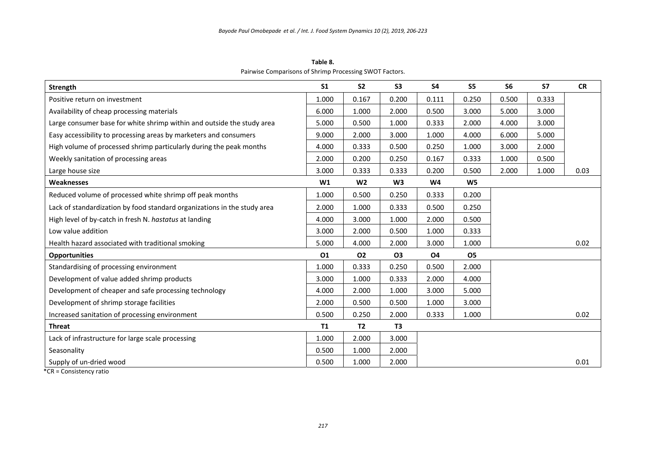**Table 8.** Pairwise Comparisons of Shrimp Processing SWOT Factors.

| Strength                                                                 | S <sub>1</sub> | S <sub>2</sub> | S <sub>3</sub> | <b>S4</b> | S5             | S <sub>6</sub> | S7    | <b>CR</b> |
|--------------------------------------------------------------------------|----------------|----------------|----------------|-----------|----------------|----------------|-------|-----------|
| Positive return on investment                                            | 1.000          | 0.167          | 0.200          | 0.111     | 0.250          | 0.500          | 0.333 |           |
| Availability of cheap processing materials                               | 6.000          | 1.000          | 2.000          | 0.500     | 3.000          | 5.000          | 3.000 |           |
| Large consumer base for white shrimp within and outside the study area   | 5.000          | 0.500          | 1.000          | 0.333     | 2.000          | 4.000          | 3.000 |           |
| Easy accessibility to processing areas by marketers and consumers        | 9.000          | 2.000          | 3.000          | 1.000     | 4.000          | 6.000          | 5.000 |           |
| High volume of processed shrimp particularly during the peak months      | 4.000          | 0.333          | 0.500          | 0.250     | 1.000          | 3.000          | 2.000 |           |
| Weekly sanitation of processing areas                                    | 2.000          | 0.200          | 0.250          | 0.167     | 0.333          | 1.000          | 0.500 |           |
| Large house size                                                         | 3.000          | 0.333          | 0.333          | 0.200     | 0.500          | 2.000          | 1.000 | 0.03      |
| <b>Weaknesses</b>                                                        | W1             | W <sub>2</sub> | W <sub>3</sub> | W4        | W <sub>5</sub> |                |       |           |
| Reduced volume of processed white shrimp off peak months                 | 1.000          | 0.500          | 0.250          | 0.333     | 0.200          |                |       |           |
| Lack of standardization by food standard organizations in the study area | 2.000          | 1.000          | 0.333          | 0.500     | 0.250          |                |       |           |
| High level of by-catch in fresh N. hastatus at landing                   | 4.000          | 3.000          | 1.000          | 2.000     | 0.500          |                |       |           |
| Low value addition                                                       | 3.000          | 2.000          | 0.500          | 1.000     | 0.333          |                |       |           |
| Health hazard associated with traditional smoking                        | 5.000          | 4.000          | 2.000          | 3.000     | 1.000          |                |       | 0.02      |
| <b>Opportunities</b>                                                     | 01             | 02             | <b>O3</b>      | <b>O4</b> | <b>O5</b>      |                |       |           |
| Standardising of processing environment                                  | 1.000          | 0.333          | 0.250          | 0.500     | 2.000          |                |       |           |
| Development of value added shrimp products                               | 3.000          | 1.000          | 0.333          | 2.000     | 4.000          |                |       |           |
| Development of cheaper and safe processing technology                    | 4.000          | 2.000          | 1.000          | 3.000     | 5.000          |                |       |           |
| Development of shrimp storage facilities                                 | 2.000          | 0.500          | 0.500          | 1.000     | 3.000          |                |       |           |
| Increased sanitation of processing environment                           | 0.500          | 0.250          | 2.000          | 0.333     | 1.000          |                |       | 0.02      |
| <b>Threat</b>                                                            | <b>T1</b>      | T <sub>2</sub> | T <sub>3</sub> |           |                |                |       |           |
| Lack of infrastructure for large scale processing                        | 1.000          | 2.000          | 3.000          |           |                |                |       |           |
| Seasonality                                                              | 0.500          | 1.000          | 2.000          |           |                |                |       |           |
| Supply of un-dried wood                                                  | 0.500          | 1.000          | 2.000          |           |                |                |       | 0.01      |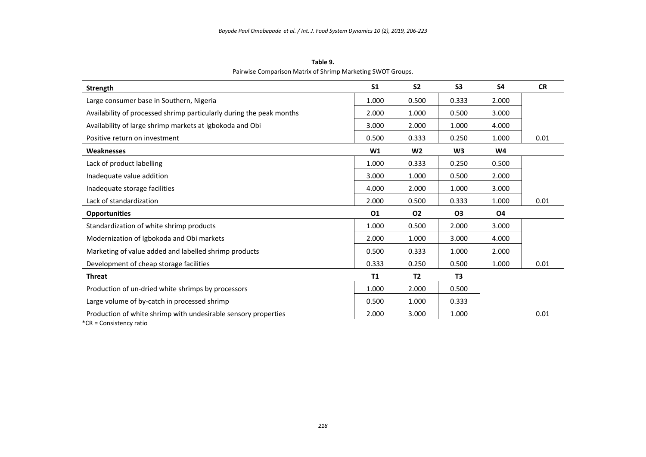**Table 9.** Pairwise Comparison Matrix of Shrimp Marketing SWOT Groups.

| Strength                                                             | S <sub>1</sub> | S <sub>2</sub> | S <sub>3</sub> | S4             | <b>CR</b> |
|----------------------------------------------------------------------|----------------|----------------|----------------|----------------|-----------|
| Large consumer base in Southern, Nigeria                             | 1.000          | 0.500          | 0.333          | 2.000          |           |
| Availability of processed shrimp particularly during the peak months | 2.000          | 1.000          | 0.500          | 3.000          |           |
| Availability of large shrimp markets at Igbokoda and Obi             | 3.000          | 2.000          | 1.000          | 4.000          |           |
| Positive return on investment                                        | 0.500          | 0.333          | 0.250          | 1.000          | 0.01      |
| <b>Weaknesses</b>                                                    | W1             | W <sub>2</sub> | W <sub>3</sub> | W <sub>4</sub> |           |
| Lack of product labelling                                            | 1.000          | 0.333          | 0.250          | 0.500          |           |
| Inadequate value addition                                            | 3.000          | 1.000          | 0.500          | 2.000          |           |
| Inadequate storage facilities                                        | 4.000          | 2.000          | 1.000          | 3.000          |           |
| Lack of standardization                                              | 2.000          | 0.500          | 0.333          | 1.000          | 0.01      |
| <b>Opportunities</b>                                                 | 01             | 02             | 03             | <b>O4</b>      |           |
| Standardization of white shrimp products                             | 1.000          | 0.500          | 2.000          | 3.000          |           |
| Modernization of Igbokoda and Obi markets                            | 2.000          | 1.000          | 3.000          | 4.000          |           |
| Marketing of value added and labelled shrimp products                | 0.500          | 0.333          | 1.000          | 2.000          |           |
| Development of cheap storage facilities                              | 0.333          | 0.250          | 0.500          | 1.000          | 0.01      |
| <b>Threat</b>                                                        | T1             | <b>T2</b>      | T <sub>3</sub> |                |           |
| Production of un-dried white shrimps by processors                   | 1.000          | 2.000          | 0.500          |                |           |
| Large volume of by-catch in processed shrimp                         | 0.500          | 1.000          | 0.333          |                |           |
| Production of white shrimp with undesirable sensory properties       | 2.000          | 3.000          | 1.000          |                | 0.01      |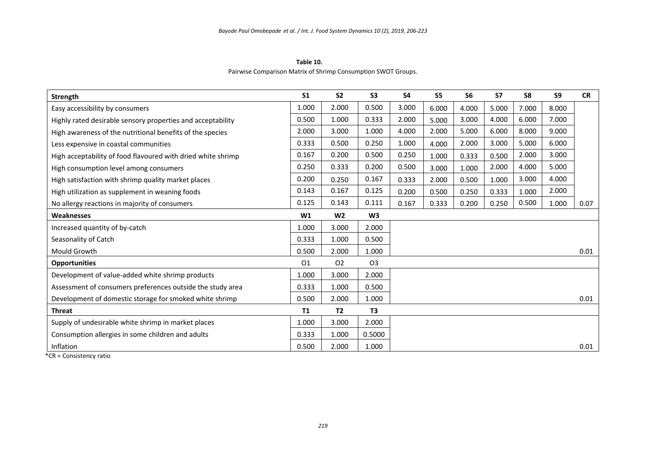**Table 10.**  Pairwise Comparison Matrix of Shrimp Consumption SWOT Groups.

| <b>Strength</b>                                              | S <sub>1</sub> | S <sub>2</sub> | S <sub>3</sub> | S <sub>4</sub> | S <sub>5</sub> | S <sub>6</sub> | <b>S7</b> | S8    | S <sub>9</sub> | <b>CR</b> |
|--------------------------------------------------------------|----------------|----------------|----------------|----------------|----------------|----------------|-----------|-------|----------------|-----------|
| Easy accessibility by consumers                              | 1.000          | 2.000          | 0.500          | 3.000          | 6.000          | 4.000          | 5.000     | 7.000 | 8.000          |           |
| Highly rated desirable sensory properties and acceptability  | 0.500          | 1.000          | 0.333          | 2.000          | 5.000          | 3.000          | 4.000     | 6.000 | 7.000          |           |
| High awareness of the nutritional benefits of the species    | 2.000          | 3.000          | 1.000          | 4.000          | 2.000          | 5.000          | 6.000     | 8.000 | 9.000          |           |
| Less expensive in coastal communities                        | 0.333          | 0.500          | 0.250          | 1.000          | 4.000          | 2.000          | 3.000     | 5.000 | 6.000          |           |
| High acceptability of food flavoured with dried white shrimp | 0.167          | 0.200          | 0.500          | 0.250          | 1.000          | 0.333          | 0.500     | 2.000 | 3.000          |           |
| High consumption level among consumers                       | 0.250          | 0.333          | 0.200          | 0.500          | 3.000          | 1.000          | 2.000     | 4.000 | 5.000          |           |
| High satisfaction with shrimp quality market places          | 0.200          | 0.250          | 0.167          | 0.333          | 2.000          | 0.500          | 1.000     | 3.000 | 4.000          |           |
| High utilization as supplement in weaning foods              | 0.143          | 0.167          | 0.125          | 0.200          | 0.500          | 0.250          | 0.333     | 1.000 | 2.000          |           |
| No allergy reactions in majority of consumers                | 0.125          | 0.143          | 0.111          | 0.167          | 0.333          | 0.200          | 0.250     | 0.500 | 1.000          | 0.07      |
| Weaknesses                                                   | W1             | W <sub>2</sub> | W <sub>3</sub> |                |                |                |           |       |                |           |
| Increased quantity of by-catch                               | 1.000          | 3.000          | 2.000          |                |                |                |           |       |                |           |
| Seasonality of Catch                                         | 0.333          | 1.000          | 0.500          |                |                |                |           |       |                |           |
| Mould Growth                                                 | 0.500          | 2.000          | 1.000          |                |                |                |           |       |                | 0.01      |
| <b>Opportunities</b>                                         | O <sub>1</sub> | O <sub>2</sub> | O <sub>3</sub> |                |                |                |           |       |                |           |
| Development of value-added white shrimp products             | 1.000          | 3.000          | 2.000          |                |                |                |           |       |                |           |
| Assessment of consumers preferences outside the study area   | 0.333          | 1.000          | 0.500          |                |                |                |           |       |                |           |
| Development of domestic storage for smoked white shrimp      | 0.500          | 2.000          | 1.000          |                |                |                |           |       |                | 0.01      |
| <b>Threat</b>                                                | <b>T1</b>      | <b>T2</b>      | T <sub>3</sub> |                |                |                |           |       |                |           |
| Supply of undesirable white shrimp in market places          | 1.000          | 3.000          | 2.000          |                |                |                |           |       |                |           |
| Consumption allergies in some children and adults            | 0.333          | 1.000          | 0.5000         |                |                |                |           |       |                |           |
| Inflation                                                    | 0.500          | 2.000          | 1.000          |                |                |                |           |       |                | 0.01      |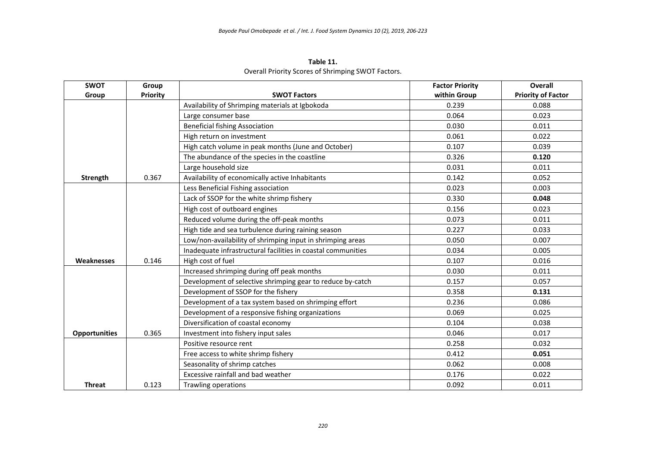| Table 11.                                          |
|----------------------------------------------------|
| Overall Priority Scores of Shrimping SWOT Factors. |

| <b>SWOT</b>          | Group           |                                                              | <b>Factor Priority</b> | Overall                   |
|----------------------|-----------------|--------------------------------------------------------------|------------------------|---------------------------|
| Group                | <b>Priority</b> | <b>SWOT Factors</b>                                          | within Group           | <b>Priority of Factor</b> |
|                      |                 | Availability of Shrimping materials at Igbokoda              | 0.239                  | 0.088                     |
|                      |                 | Large consumer base                                          | 0.064                  | 0.023                     |
|                      |                 | <b>Beneficial fishing Association</b>                        | 0.030                  | 0.011                     |
|                      |                 | High return on investment                                    | 0.061                  | 0.022                     |
|                      |                 | High catch volume in peak months (June and October)          | 0.107                  | 0.039                     |
|                      |                 | The abundance of the species in the coastline                | 0.326                  | 0.120                     |
|                      |                 | Large household size                                         | 0.031                  | 0.011                     |
| Strength             | 0.367           | Availability of economically active Inhabitants              | 0.142                  | 0.052                     |
|                      |                 | Less Beneficial Fishing association                          | 0.023                  | 0.003                     |
|                      |                 | Lack of SSOP for the white shrimp fishery                    | 0.330                  | 0.048                     |
|                      |                 | High cost of outboard engines                                | 0.156                  | 0.023                     |
|                      |                 | Reduced volume during the off-peak months                    | 0.073                  | 0.011                     |
|                      |                 | High tide and sea turbulence during raining season           | 0.227                  | 0.033                     |
|                      |                 | Low/non-availability of shrimping input in shrimping areas   | 0.050                  | 0.007                     |
|                      |                 | Inadequate infrastructural facilities in coastal communities | 0.034                  | 0.005                     |
| <b>Weaknesses</b>    | 0.146           | High cost of fuel                                            | 0.107                  | 0.016                     |
|                      |                 | Increased shrimping during off peak months                   | 0.030                  | 0.011                     |
|                      |                 | Development of selective shrimping gear to reduce by-catch   | 0.157                  | 0.057                     |
|                      |                 | Development of SSOP for the fishery                          | 0.358                  | 0.131                     |
|                      |                 | Development of a tax system based on shrimping effort        | 0.236                  | 0.086                     |
|                      |                 | Development of a responsive fishing organizations            | 0.069                  | 0.025                     |
|                      |                 | Diversification of coastal economy                           | 0.104                  | 0.038                     |
| <b>Opportunities</b> | 0.365           | Investment into fishery input sales                          | 0.046                  | 0.017                     |
|                      |                 | Positive resource rent                                       | 0.258                  | 0.032                     |
|                      |                 | Free access to white shrimp fishery                          | 0.412                  | 0.051                     |
|                      |                 | Seasonality of shrimp catches                                | 0.062                  | 0.008                     |
|                      |                 | Excessive rainfall and bad weather                           | 0.176                  | 0.022                     |
| <b>Threat</b>        | 0.123           | <b>Trawling operations</b>                                   | 0.092                  | 0.011                     |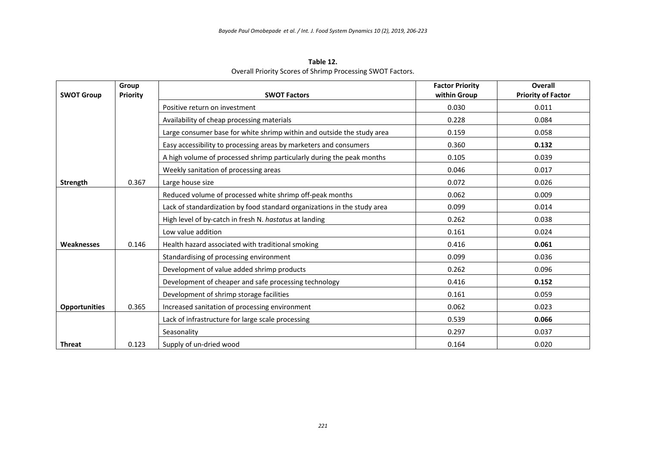| Table 12.                                                  |
|------------------------------------------------------------|
| Overall Priority Scores of Shrimp Processing SWOT Factors. |

| <b>SWOT Group</b>    | Group<br><b>Priority</b> | <b>SWOT Factors</b>                                                      | <b>Factor Priority</b><br>within Group | Overall                   |
|----------------------|--------------------------|--------------------------------------------------------------------------|----------------------------------------|---------------------------|
|                      |                          |                                                                          |                                        | <b>Priority of Factor</b> |
|                      |                          | Positive return on investment                                            | 0.030                                  | 0.011                     |
|                      |                          | Availability of cheap processing materials                               | 0.228                                  | 0.084                     |
|                      |                          | Large consumer base for white shrimp within and outside the study area   | 0.159                                  | 0.058                     |
|                      |                          | Easy accessibility to processing areas by marketers and consumers        | 0.360                                  | 0.132                     |
|                      |                          | A high volume of processed shrimp particularly during the peak months    | 0.105                                  | 0.039                     |
|                      |                          | Weekly sanitation of processing areas                                    | 0.046                                  | 0.017                     |
| Strength             | 0.367                    | Large house size                                                         | 0.072                                  | 0.026                     |
|                      |                          | Reduced volume of processed white shrimp off-peak months                 | 0.062                                  | 0.009                     |
|                      |                          | Lack of standardization by food standard organizations in the study area | 0.099                                  | 0.014                     |
|                      |                          | High level of by-catch in fresh N. hastatus at landing                   | 0.262                                  | 0.038                     |
|                      |                          | Low value addition                                                       | 0.161                                  | 0.024                     |
| Weaknesses           | 0.146                    | Health hazard associated with traditional smoking                        | 0.416                                  | 0.061                     |
|                      |                          | Standardising of processing environment                                  | 0.099                                  | 0.036                     |
|                      |                          | Development of value added shrimp products                               | 0.262                                  | 0.096                     |
|                      |                          | Development of cheaper and safe processing technology                    | 0.416                                  | 0.152                     |
|                      |                          | Development of shrimp storage facilities                                 | 0.161                                  | 0.059                     |
| <b>Opportunities</b> | 0.365                    | Increased sanitation of processing environment                           | 0.062                                  | 0.023                     |
|                      |                          | Lack of infrastructure for large scale processing                        | 0.539                                  | 0.066                     |
|                      |                          | Seasonality                                                              | 0.297                                  | 0.037                     |
| <b>Threat</b>        | 0.123                    | Supply of un-dried wood                                                  | 0.164                                  | 0.020                     |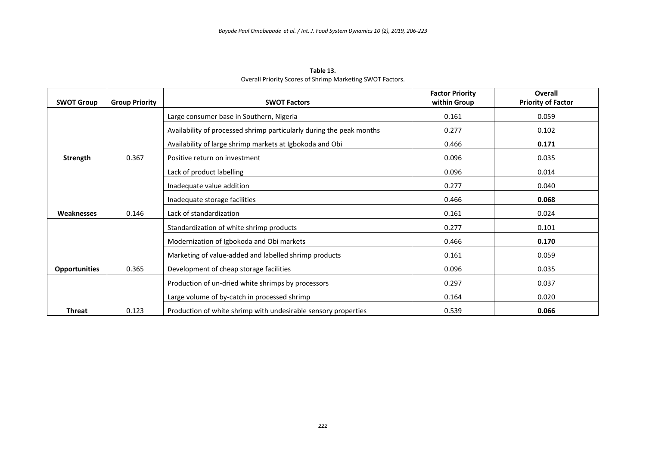| <b>SWOT Group</b>    | <b>Group Priority</b> | <b>SWOT Factors</b>                                                  | <b>Factor Priority</b><br>within Group | <b>Overall</b><br><b>Priority of Factor</b> |
|----------------------|-----------------------|----------------------------------------------------------------------|----------------------------------------|---------------------------------------------|
|                      |                       | Large consumer base in Southern, Nigeria                             | 0.161                                  | 0.059                                       |
|                      |                       | Availability of processed shrimp particularly during the peak months | 0.277                                  | 0.102                                       |
|                      |                       | Availability of large shrimp markets at Igbokoda and Obi             | 0.466                                  | 0.171                                       |
| Strength             | 0.367                 | Positive return on investment                                        | 0.096                                  | 0.035                                       |
|                      |                       | Lack of product labelling                                            | 0.096                                  | 0.014                                       |
|                      |                       | Inadequate value addition                                            | 0.277                                  | 0.040                                       |
|                      |                       | Inadequate storage facilities                                        | 0.466                                  | 0.068                                       |
| Weaknesses           | 0.146                 | Lack of standardization                                              | 0.161                                  | 0.024                                       |
|                      |                       | Standardization of white shrimp products                             | 0.277                                  | 0.101                                       |
|                      |                       | Modernization of Igbokoda and Obi markets                            | 0.466                                  | 0.170                                       |
|                      |                       | Marketing of value-added and labelled shrimp products                | 0.161                                  | 0.059                                       |
| <b>Opportunities</b> | 0.365                 | Development of cheap storage facilities                              | 0.096                                  | 0.035                                       |
|                      |                       | Production of un-dried white shrimps by processors                   | 0.297                                  | 0.037                                       |
|                      |                       | Large volume of by-catch in processed shrimp                         | 0.164                                  | 0.020                                       |
| <b>Threat</b>        | 0.123                 | Production of white shrimp with undesirable sensory properties       | 0.539                                  | 0.066                                       |

**Table 13.**  Overall Priority Scores of Shrimp Marketing SWOT Factors.